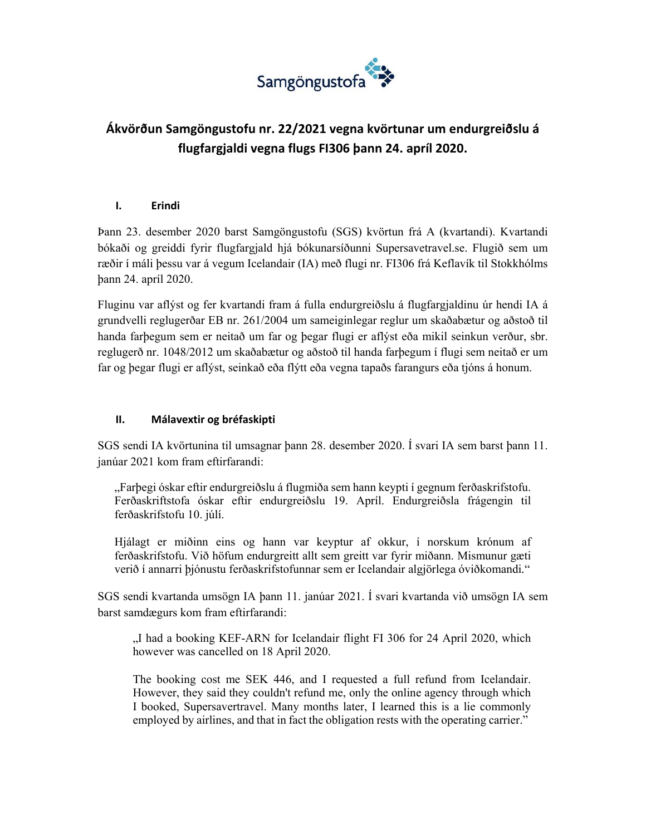

# **Ákvörðun Samgöngustofu nr. 22/2021 vegna kvörtunar um endurgreiðslu á flugfargjaldi vegna flugs FI306 þann 24. apríl 2020.**

### **I. Erindi**

Þann 23. desember 2020 barst Samgöngustofu (SGS) kvörtun frá A (kvartandi). Kvartandi bókaði og greiddi fyrir flugfargjald hjá bókunarsíðunni Supersavetravel.se. Flugið sem um ræðir í máli þessu var á vegum Icelandair (IA) með flugi nr. FI306 frá Keflavík til Stokkhólms þann 24. apríl 2020.

Fluginu var aflýst og fer kvartandi fram á fulla endurgreiðslu á flugfargjaldinu úr hendi IA á grundvelli reglugerðar EB nr. 261/2004 um sameiginlegar reglur um skaðabætur og aðstoð til handa farþegum sem er neitað um far og þegar flugi er aflýst eða mikil seinkun verður, sbr. reglugerð nr. 1048/2012 um skaðabætur og aðstoð til handa farþegum í flugi sem neitað er um far og þegar flugi er aflýst, seinkað eða flýtt eða vegna tapaðs farangurs eða tjóns á honum.

#### **II. Málavextir og bréfaskipti**

SGS sendi IA kvörtunina til umsagnar þann 28. desember 2020. Í svari IA sem barst þann 11. janúar 2021 kom fram eftirfarandi:

"Farþegi óskar eftir endurgreiðslu á flugmiða sem hann keypti í gegnum ferðaskrifstofu. Ferðaskriftstofa óskar eftir endurgreiðslu 19. Apríl. Endurgreiðsla frágengin til ferðaskrifstofu 10. júlí.

Hjálagt er miðinn eins og hann var keyptur af okkur, í norskum krónum af ferðaskrifstofu. Við höfum endurgreitt allt sem greitt var fyrir miðann. Mismunur gæti verið í annarri þjónustu ferðaskrifstofunnar sem er Icelandair algjörlega óviðkomandi*.*"

SGS sendi kvartanda umsögn IA þann 11. janúar 2021. Í svari kvartanda við umsögn IA sem barst samdægurs kom fram eftirfarandi:

"I had a booking KEF-ARN for Icelandair flight FI 306 for 24 April 2020, which however was cancelled on 18 April 2020.

 The booking cost me SEK 446, and I requested a full refund from Icelandair. However, they said they couldn't refund me, only the online agency through which I booked, Supersavertravel. Many months later, I learned this is a lie commonly employed by airlines, and that in fact the obligation rests with the operating carrier."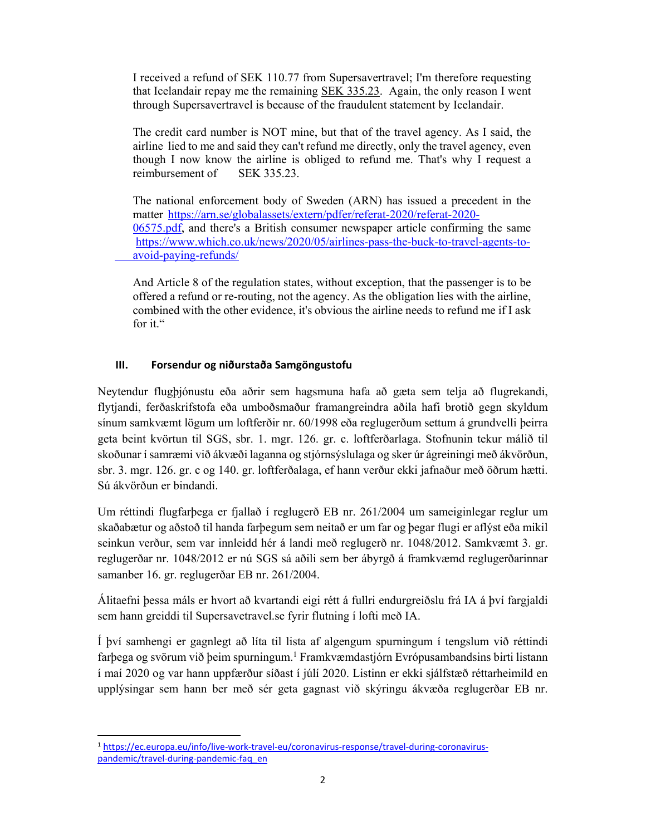I received a refund of SEK 110.77 from Supersavertravel; I'm therefore requesting that Icelandair repay me the remaining SEK 335.23. Again, the only reason I went through Supersavertravel is because of the fraudulent statement by Icelandair.

 The credit card number is NOT mine, but that of the travel agency. As I said, the airline lied to me and said they can't refund me directly, only the travel agency, even though I now know the airline is obliged to refund me. That's why I request a reimbursement of SEK 335.23.

 The national enforcement body of Sweden (ARN) has issued a precedent in the matter https://arn.se/globalassets/extern/pdfer/referat-2020/referat-2020- 06575.pdf, and there's a British consumer newspaper article confirming the same https://www.which.co.uk/news/2020/05/airlines-pass-the-buck-to-travel-agents-to avoid-paying-refunds/

 And Article 8 of the regulation states, without exception, that the passenger is to be offered a refund or re-routing, not the agency. As the obligation lies with the airline, combined with the other evidence, it's obvious the airline needs to refund me if I ask for it."

#### **III. Forsendur og niðurstaða Samgöngustofu**

Neytendur flugþjónustu eða aðrir sem hagsmuna hafa að gæta sem telja að flugrekandi, flytjandi, ferðaskrifstofa eða umboðsmaður framangreindra aðila hafi brotið gegn skyldum sínum samkvæmt lögum um loftferðir nr. 60/1998 eða reglugerðum settum á grundvelli þeirra geta beint kvörtun til SGS, sbr. 1. mgr. 126. gr. c. loftferðarlaga. Stofnunin tekur málið til skoðunar í samræmi við ákvæði laganna og stjórnsýslulaga og sker úr ágreiningi með ákvörðun, sbr. 3. mgr. 126. gr. c og 140. gr. loftferðalaga, ef hann verður ekki jafnaður með öðrum hætti. Sú ákvörðun er bindandi.

Um réttindi flugfarþega er fjallað í reglugerð EB nr. 261/2004 um sameiginlegar reglur um skaðabætur og aðstoð til handa farþegum sem neitað er um far og þegar flugi er aflýst eða mikil seinkun verður, sem var innleidd hér á landi með reglugerð nr. 1048/2012. Samkvæmt 3. gr. reglugerðar nr. 1048/2012 er nú SGS sá aðili sem ber ábyrgð á framkvæmd reglugerðarinnar samanber 16. gr. reglugerðar EB nr. 261/2004.

Álitaefni þessa máls er hvort að kvartandi eigi rétt á fullri endurgreiðslu frá IA á því fargjaldi sem hann greiddi til Supersavetravel.se fyrir flutning í lofti með IA.

Í því samhengi er gagnlegt að líta til lista af algengum spurningum í tengslum við réttindi farþega og svörum við þeim spurningum.<sup>1</sup> Framkvæmdastjórn Evrópusambandsins birti listann í maí 2020 og var hann uppfærður síðast í júlí 2020. Listinn er ekki sjálfstæð réttarheimild en upplýsingar sem hann ber með sér geta gagnast við skýringu ákvæða reglugerðar EB nr.

 <sup>1</sup> https://ec.europa.eu/info/live‐work‐travel‐eu/coronavirus‐response/travel‐during‐coronavirus‐ pandemic/travel-during-pandemic-faq\_en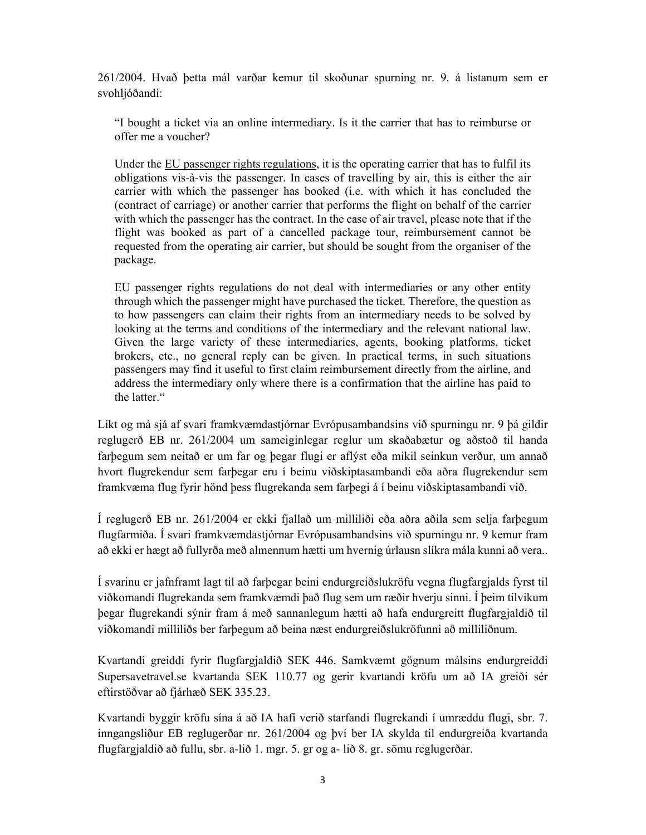261/2004. Hvað þetta mál varðar kemur til skoðunar spurning nr. 9. á listanum sem er svohljóðandi:

"I bought a ticket via an online intermediary. Is it the carrier that has to reimburse or offer me a voucher?

Under the EU passenger rights regulations, it is the operating carrier that has to fulfil its obligations vis-à-vis the passenger. In cases of travelling by air, this is either the air carrier with which the passenger has booked (i.e. with which it has concluded the (contract of carriage) or another carrier that performs the flight on behalf of the carrier with which the passenger has the contract. In the case of air travel, please note that if the flight was booked as part of a cancelled package tour, reimbursement cannot be requested from the operating air carrier, but should be sought from the organiser of the package.

EU passenger rights regulations do not deal with intermediaries or any other entity through which the passenger might have purchased the ticket. Therefore, the question as to how passengers can claim their rights from an intermediary needs to be solved by looking at the terms and conditions of the intermediary and the relevant national law. Given the large variety of these intermediaries, agents, booking platforms, ticket brokers, etc., no general reply can be given. In practical terms, in such situations passengers may find it useful to first claim reimbursement directly from the airline, and address the intermediary only where there is a confirmation that the airline has paid to the latter."

Líkt og má sjá af svari framkvæmdastjórnar Evrópusambandsins við spurningu nr. 9 þá gildir reglugerð EB nr. 261/2004 um sameiginlegar reglur um skaðabætur og aðstoð til handa farþegum sem neitað er um far og þegar flugi er aflýst eða mikil seinkun verður, um annað hvort flugrekendur sem farþegar eru í beinu viðskiptasambandi eða aðra flugrekendur sem framkvæma flug fyrir hönd þess flugrekanda sem farþegi á í beinu viðskiptasambandi við.

Í reglugerð EB nr. 261/2004 er ekki fjallað um milliliði eða aðra aðila sem selja farþegum flugfarmiða. Í svari framkvæmdastjórnar Evrópusambandsins við spurningu nr. 9 kemur fram að ekki er hægt að fullyrða með almennum hætti um hvernig úrlausn slíkra mála kunni að vera..

Í svarinu er jafnframt lagt til að farþegar beini endurgreiðslukröfu vegna flugfargjalds fyrst til viðkomandi flugrekanda sem framkvæmdi það flug sem um ræðir hverju sinni. Í þeim tilvikum þegar flugrekandi sýnir fram á með sannanlegum hætti að hafa endurgreitt flugfargjaldið til viðkomandi milliliðs ber farþegum að beina næst endurgreiðslukröfunni að milliliðnum.

Kvartandi greiddi fyrir flugfargjaldið SEK 446. Samkvæmt gögnum málsins endurgreiddi Supersavetravel.se kvartanda SEK 110.77 og gerir kvartandi kröfu um að IA greiði sér eftirstöðvar að fjárhæð SEK 335.23.

Kvartandi byggir kröfu sína á að IA hafi verið starfandi flugrekandi í umræddu flugi, sbr. 7. inngangsliður EB reglugerðar nr. 261/2004 og því ber IA skylda til endurgreiða kvartanda flugfargjaldið að fullu, sbr. a-lið 1. mgr. 5. gr og a- lið 8. gr. sömu reglugerðar.